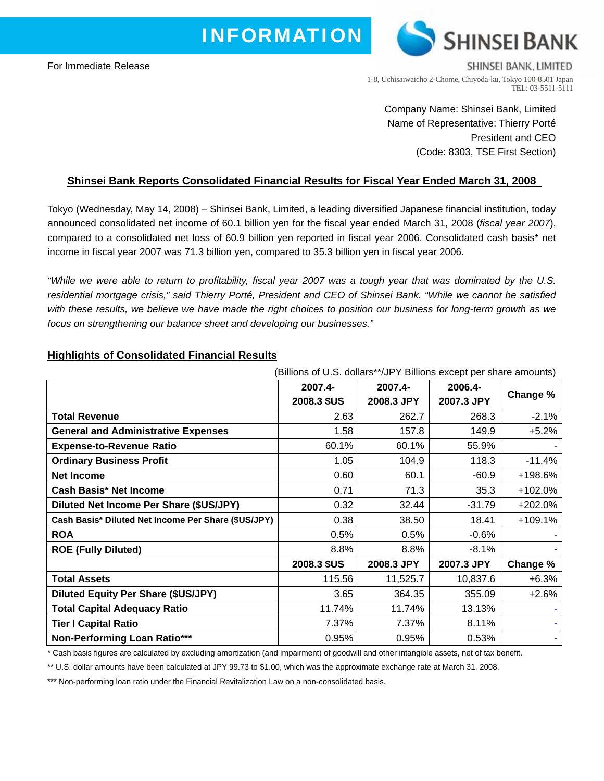# **I N F O R M A T I O N**

For Immediate Release



SHINSEI BANK, LIMITED 1-8, Uchisaiwaicho 2-Chome, Chiyoda-ku, Tokyo 100-8501 Japan TEL: 03-5511-5111

Company Name: Shinsei Bank, Limited Name of Representative: Thierry Porté President and CEO (Code: 8303, TSE First Section)

## **Shinsei Bank Reports Consolidated Financial Results for Fiscal Year Ended March 31, 2008**

Tokyo (Wednesday, May 14, 2008) – Shinsei Bank, Limited, a leading diversified Japanese financial institution, today announced consolidated net income of 60.1 billion yen for the fiscal year ended March 31, 2008 (*fiscal year 2007*), compared to a consolidated net loss of 60.9 billion yen reported in fiscal year 2006. Consolidated cash basis\* net income in fiscal year 2007 was 71.3 billion yen, compared to 35.3 billion yen in fiscal year 2006.

*"While we were able to return to profitability, fiscal year 2007 was a tough year that was dominated by the U.S. residential mortgage crisis," said Thierry Porté, President and CEO of Shinsei Bank. "While we cannot be satisfied with these results, we believe we have made the right choices to position our business for long-term growth as we focus on strengthening our balance sheet and developing our businesses."*

|                                                     | (Billions of U.S. dollars**/JPY Billions except per share amounts) |            |            |           |
|-----------------------------------------------------|--------------------------------------------------------------------|------------|------------|-----------|
|                                                     | 2007.4-                                                            | 2007.4-    | 2006.4-    | Change %  |
|                                                     | 2008.3 \$US                                                        | 2008.3 JPY | 2007.3 JPY |           |
| <b>Total Revenue</b>                                | 2.63                                                               | 262.7      | 268.3      | $-2.1%$   |
| <b>General and Administrative Expenses</b>          | 1.58                                                               | 157.8      | 149.9      | $+5.2%$   |
| <b>Expense-to-Revenue Ratio</b>                     | 60.1%                                                              | 60.1%      | 55.9%      |           |
| <b>Ordinary Business Profit</b>                     | 1.05                                                               | 104.9      | 118.3      | $-11.4%$  |
| <b>Net Income</b>                                   | 0.60                                                               | 60.1       | $-60.9$    | +198.6%   |
| <b>Cash Basis* Net Income</b>                       | 0.71                                                               | 71.3       | 35.3       | +102.0%   |
| Diluted Net Income Per Share (\$US/JPY)             | 0.32                                                               | 32.44      | $-31.79$   | $+202.0%$ |
| Cash Basis* Diluted Net Income Per Share (\$US/JPY) | 0.38                                                               | 38.50      | 18.41      | $+109.1%$ |
| <b>ROA</b>                                          | 0.5%                                                               | 0.5%       | $-0.6%$    |           |
| <b>ROE (Fully Diluted)</b>                          | 8.8%                                                               | 8.8%       | $-8.1%$    |           |
|                                                     | 2008.3 \$US                                                        | 2008.3 JPY | 2007.3 JPY | Change %  |
| <b>Total Assets</b>                                 | 115.56                                                             | 11,525.7   | 10,837.6   | $+6.3%$   |
| <b>Diluted Equity Per Share (\$US/JPY)</b>          | 3.65                                                               | 364.35     | 355.09     | $+2.6%$   |
| <b>Total Capital Adequacy Ratio</b>                 | 11.74%                                                             | 11.74%     | 13.13%     |           |
| <b>Tier I Capital Ratio</b>                         | 7.37%                                                              | 7.37%      | 8.11%      |           |
| Non-Performing Loan Ratio***                        | 0.95%                                                              | 0.95%      | 0.53%      |           |

## **Highlights of Consolidated Financial Results**

\* Cash basis figures are calculated by excluding amortization (and impairment) of goodwill and other intangible assets, net of tax benefit.

\*\* U.S. dollar amounts have been calculated at JPY 99.73 to \$1.00, which was the approximate exchange rate at March 31, 2008.

\*\*\* Non-performing loan ratio under the Financial Revitalization Law on a non-consolidated basis.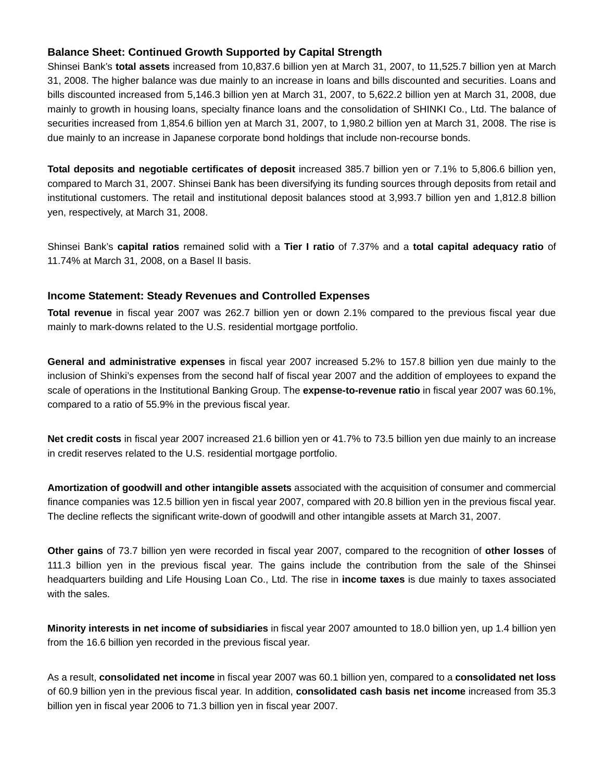## **Balance Sheet: Continued Growth Supported by Capital Strength**

Shinsei Bank's **total assets** increased from 10,837.6 billion yen at March 31, 2007, to 11,525.7 billion yen at March 31, 2008. The higher balance was due mainly to an increase in loans and bills discounted and securities. Loans and bills discounted increased from 5,146.3 billion yen at March 31, 2007, to 5,622.2 billion yen at March 31, 2008, due mainly to growth in housing loans, specialty finance loans and the consolidation of SHINKI Co., Ltd. The balance of securities increased from 1,854.6 billion yen at March 31, 2007, to 1,980.2 billion yen at March 31, 2008. The rise is due mainly to an increase in Japanese corporate bond holdings that include non-recourse bonds.

**Total deposits and negotiable certificates of deposit** increased 385.7 billion yen or 7.1% to 5,806.6 billion yen, compared to March 31, 2007. Shinsei Bank has been diversifying its funding sources through deposits from retail and institutional customers. The retail and institutional deposit balances stood at 3,993.7 billion yen and 1,812.8 billion yen, respectively, at March 31, 2008.

Shinsei Bank's **capital ratios** remained solid with a **Tier I ratio** of 7.37% and a **total capital adequacy ratio** of 11.74% at March 31, 2008, on a Basel II basis.

## **Income Statement: Steady Revenues and Controlled Expenses**

**Total revenue** in fiscal year 2007 was 262.7 billion yen or down 2.1% compared to the previous fiscal year due mainly to mark-downs related to the U.S. residential mortgage portfolio.

**General and administrative expenses** in fiscal year 2007 increased 5.2% to 157.8 billion yen due mainly to the inclusion of Shinki's expenses from the second half of fiscal year 2007 and the addition of employees to expand the scale of operations in the Institutional Banking Group. The **expense-to-revenue ratio** in fiscal year 2007 was 60.1%, compared to a ratio of 55.9% in the previous fiscal year.

**Net credit costs** in fiscal year 2007 increased 21.6 billion yen or 41.7% to 73.5 billion yen due mainly to an increase in credit reserves related to the U.S. residential mortgage portfolio.

**Amortization of goodwill and other intangible assets** associated with the acquisition of consumer and commercial finance companies was 12.5 billion yen in fiscal year 2007, compared with 20.8 billion yen in the previous fiscal year. The decline reflects the significant write-down of goodwill and other intangible assets at March 31, 2007.

**Other gains** of 73.7 billion yen were recorded in fiscal year 2007, compared to the recognition of **other losses** of 111.3 billion yen in the previous fiscal year. The gains include the contribution from the sale of the Shinsei headquarters building and Life Housing Loan Co., Ltd. The rise in **income taxes** is due mainly to taxes associated with the sales.

**Minority interests in net income of subsidiaries** in fiscal year 2007 amounted to 18.0 billion yen, up 1.4 billion yen from the 16.6 billion yen recorded in the previous fiscal year.

As a result, **consolidated net income** in fiscal year 2007 was 60.1 billion yen, compared to a **consolidated net loss** of 60.9 billion yen in the previous fiscal year. In addition, **consolidated cash basis net income** increased from 35.3 billion yen in fiscal year 2006 to 71.3 billion yen in fiscal year 2007.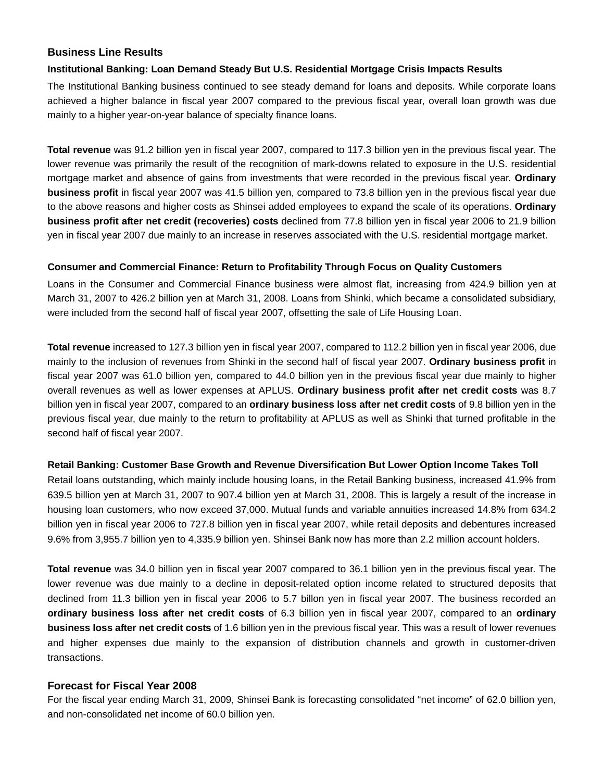#### **Business Line Results**

#### **Institutional Banking: Loan Demand Steady But U.S. Residential Mortgage Crisis Impacts Results**

The Institutional Banking business continued to see steady demand for loans and deposits. While corporate loans achieved a higher balance in fiscal year 2007 compared to the previous fiscal year, overall loan growth was due mainly to a higher year-on-year balance of specialty finance loans.

**Total revenue** was 91.2 billion yen in fiscal year 2007, compared to 117.3 billion yen in the previous fiscal year. The lower revenue was primarily the result of the recognition of mark-downs related to exposure in the U.S. residential mortgage market and absence of gains from investments that were recorded in the previous fiscal year. **Ordinary business profit** in fiscal year 2007 was 41.5 billion yen, compared to 73.8 billion yen in the previous fiscal year due to the above reasons and higher costs as Shinsei added employees to expand the scale of its operations. **Ordinary business profit after net credit (recoveries) costs** declined from 77.8 billion yen in fiscal year 2006 to 21.9 billion yen in fiscal year 2007 due mainly to an increase in reserves associated with the U.S. residential mortgage market.

#### **Consumer and Commercial Finance: Return to Profitability Through Focus on Quality Customers**

Loans in the Consumer and Commercial Finance business were almost flat, increasing from 424.9 billion yen at March 31, 2007 to 426.2 billion yen at March 31, 2008. Loans from Shinki, which became a consolidated subsidiary, were included from the second half of fiscal year 2007, offsetting the sale of Life Housing Loan.

**Total revenue** increased to 127.3 billion yen in fiscal year 2007, compared to 112.2 billion yen in fiscal year 2006, due mainly to the inclusion of revenues from Shinki in the second half of fiscal year 2007. **Ordinary business profit** in fiscal year 2007 was 61.0 billion yen, compared to 44.0 billion yen in the previous fiscal year due mainly to higher overall revenues as well as lower expenses at APLUS. **Ordinary business profit after net credit costs** was 8.7 billion yen in fiscal year 2007, compared to an **ordinary business loss after net credit costs** of 9.8 billion yen in the previous fiscal year, due mainly to the return to profitability at APLUS as well as Shinki that turned profitable in the second half of fiscal year 2007.

#### **Retail Banking: Customer Base Growth and Revenue Diversification But Lower Option Income Takes Toll**

Retail loans outstanding, which mainly include housing loans, in the Retail Banking business, increased 41.9% from 639.5 billion yen at March 31, 2007 to 907.4 billion yen at March 31, 2008. This is largely a result of the increase in housing loan customers, who now exceed 37,000. Mutual funds and variable annuities increased 14.8% from 634.2 billion yen in fiscal year 2006 to 727.8 billion yen in fiscal year 2007, while retail deposits and debentures increased 9.6% from 3,955.7 billion yen to 4,335.9 billion yen. Shinsei Bank now has more than 2.2 million account holders.

**Total revenue** was 34.0 billion yen in fiscal year 2007 compared to 36.1 billion yen in the previous fiscal year. The lower revenue was due mainly to a decline in deposit-related option income related to structured deposits that declined from 11.3 billion yen in fiscal year 2006 to 5.7 billon yen in fiscal year 2007. The business recorded an **ordinary business loss after net credit costs** of 6.3 billion yen in fiscal year 2007, compared to an **ordinary business loss after net credit costs** of 1.6 billion yen in the previous fiscal year. This was a result of lower revenues and higher expenses due mainly to the expansion of distribution channels and growth in customer-driven transactions.

## **Forecast for Fiscal Year 2008**

For the fiscal year ending March 31, 2009, Shinsei Bank is forecasting consolidated "net income" of 62.0 billion yen, and non-consolidated net income of 60.0 billion yen.